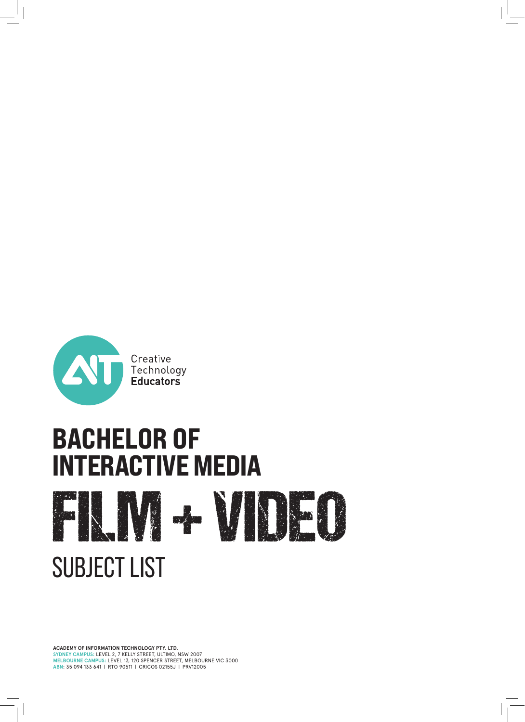

# **BACHELOR OF<br>INTERACTIVE MEDIA** FILM + VIDEO SUBJECT LIST

**ACADEMY OF INFORMATION TECHNOLOGY PTY. LTD. SYDNEY CAMPUS:** LEVEL 2, 7 KELLY STREET, ULTIMO, NSW 2007 **MELBOURNE CAMPUS:** LEVEL 13, 120 SPENCER STREET, MELBOURNE VIC 3000 **ABN**: 35 094 133 641 | RTO 90511 | CRICOS 02155J | PRV12005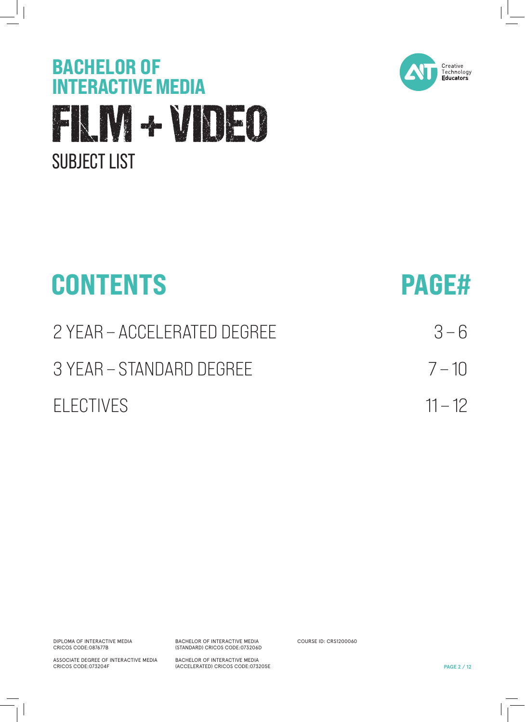



| <b>CONTENTS</b>             | <b>PAGE#</b> |
|-----------------------------|--------------|
| 2 YEAR - ACCELERATED DEGREE | $3 - 6$      |
| 3 YEAR - STANDARD DEGREE    | $7 - 10$     |
| FI FCTIVES                  | $11 - 12$    |

DIPLOMA OF INTERACTIVE MEDIA CRICOS CODE:087677B

ASSOCIATE DEGREE OF INTERACTIVE MEDIA CRICOS CODE:073204F

BACHELOR OF INTERACTIVE MEDIA (STANDARD) CRICOS CODE:073206D

BACHELOR OF INTERACTIVE MEDIA (ACCELERATED) CRICOS CODE:073205E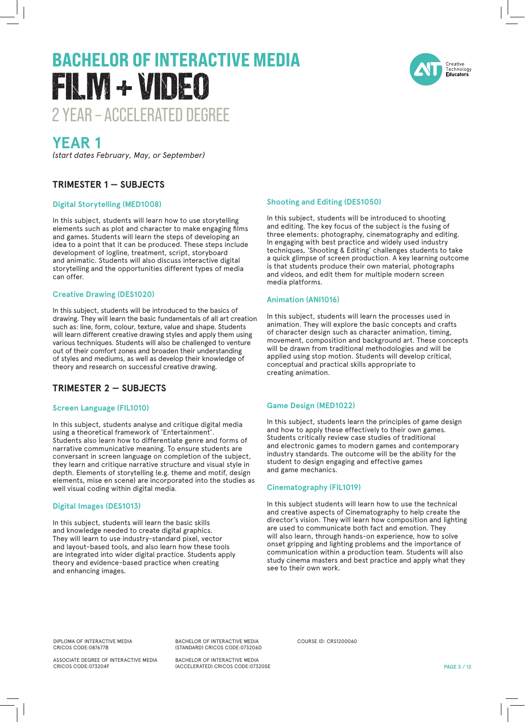

### **YEAR 1**

*(start dates February, May, or September)*

#### **TRIMESTER 1 — SUBJECTS**

#### **Digital Storytelling (MED1008)**

In this subject, students will learn how to use storytelling elements such as plot and character to make engaging films and games. Students will learn the steps of developing an idea to a point that it can be produced. These steps include development of logline, treatment, script, storyboard and animatic. Students will also discuss interactive digital storytelling and the opportunities different types of media can offer.

#### **Creative Drawing (DES1020)**

In this subject, students will be introduced to the basics of drawing. They will learn the basic fundamentals of all art creation such as: line, form, colour, texture, value and shape. Students will learn different creative drawing styles and apply them using various techniques. Students will also be challenged to venture out of their comfort zones and broaden their understanding of styles and mediums, as well as develop their knowledge of theory and research on successful creative drawing.

#### **TRIMESTER 2 — SUBJECTS**

#### **Screen Language (FIL1010)**

In this subject, students analyse and critique digital media using a theoretical framework of 'Entertainment'. Students also learn how to differentiate genre and forms of narrative communicative meaning. To ensure students are conversant in screen language on completion of the subject, they learn and critique narrative structure and visual style in depth. Elements of storytelling (e.g. theme and motif, design elements, mise en scene) are incorporated into the studies as well visual coding within digital media.

#### **Digital Images (DES1013)**

In this subject, students will learn the basic skills and knowledge needed to create digital graphics. They will learn to use industry-standard pixel, vector and layout-based tools, and also learn how these tools are integrated into wider digital practice. Students apply theory and evidence-based practice when creating and enhancing images.

#### **Shooting and Editing (DES1050)**

In this subject, students will be introduced to shooting and editing. The key focus of the subject is the fusing of three elements: photography, cinematography and editing. In engaging with best practice and widely used industry techniques, 'Shooting & Editing' challenges students to take a quick glimpse of screen production. A key learning outcome is that students produce their own material, photographs and videos, and edit them for multiple modern screen media platforms.

#### **Animation (ANI1016)**

In this subject, students will learn the processes used in animation. They will explore the basic concepts and crafts of character design such as character animation, timing, movement, composition and background art. These concepts will be drawn from traditional methodologies and will be applied using stop motion. Students will develop critical, conceptual and practical skills appropriate to creating animation.

#### **Game Design (MED1022)**

In this subject, students learn the principles of game design and how to apply these effectively to their own games. Students critically review case studies of traditional and electronic games to modern games and contemporary industry standards. The outcome will be the ability for the student to design engaging and effective games and game mechanics.

#### **Cinematography (FIL1019)**

In this subject students will learn how to use the technical and creative aspects of Cinematography to help create the director's vision. They will learn how composition and lighting are used to communicate both fact and emotion. They will also learn, through hands-on experience, how to solve onset gripping and lighting problems and the importance of communication within a production team. Students will also study cinema masters and best practice and apply what they see to their own work.

DIPLOMA OF INTERACTIVE MEDIA CRICOS CODE:087677B

ASSOCIATE DEGREE OF INTERACTIVE MEDIA CRICOS CODE:073204F

BACHELOR OF INTERACTIVE MEDIA (STANDARD) CRICOS CODE:073206D

BACHELOR OF INTERACTIVE MEDIA (ACCELERATED) CRICOS CODE:073205E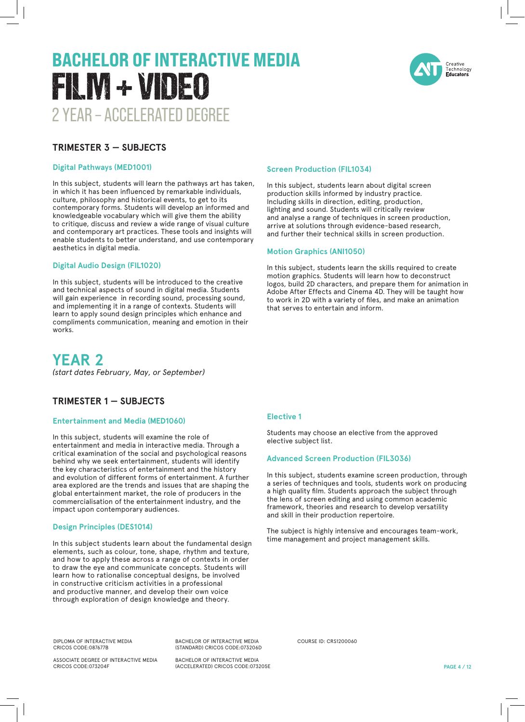

#### **TRIMESTER 3 — SUBJECTS**

#### **Digital Pathways (MED1001)**

In this subject, students will learn the pathways art has taken, in which it has been influenced by remarkable individuals, culture, philosophy and historical events, to get to its contemporary forms. Students will develop an informed and knowledgeable vocabulary which will give them the ability to critique, discuss and review a wide range of visual culture and contemporary art practices. These tools and insights will enable students to better understand, and use contemporary aesthetics in digital media.

#### **Digital Audio Design (FIL1020)**

In this subject, students will be introduced to the creative and technical aspects of sound in digital media. Students will gain experience in recording sound, processing sound, and implementing it in a range of contexts. Students will learn to apply sound design principles which enhance and compliments communication, meaning and emotion in their works.

#### **YEAR 2**

*(start dates February, May, or September)*

#### **TRIMESTER 1 — SUBJECTS**

#### **Entertainment and Media (MED1060)**

In this subject, students will examine the role of entertainment and media in interactive media. Through a critical examination of the social and psychological reasons behind why we seek entertainment, students will identify the key characteristics of entertainment and the history and evolution of different forms of entertainment. A further area explored are the trends and issues that are shaping the global entertainment market, the role of producers in the commercialisation of the entertainment industry, and the impact upon contemporary audiences.

#### **Design Principles (DES1014)**

In this subject students learn about the fundamental design elements, such as colour, tone, shape, rhythm and texture, and how to apply these across a range of contexts in order to draw the eye and communicate concepts. Students will learn how to rationalise conceptual designs, be involved in constructive criticism activities in a professional and productive manner, and develop their own voice through exploration of design knowledge and theory.

#### **Screen Production (FIL1034)**

In this subject, students learn about digital screen production skills informed by industry practice. Including skills in direction, editing, production, lighting and sound. Students will critically review and analyse a range of techniques in screen production, arrive at solutions through evidence-based research, and further their technical skills in screen production.

#### **Motion Graphics (ANI1050)**

In this subject, students learn the skills required to create motion graphics. Students will learn how to deconstruct logos, build 2D characters, and prepare them for animation in Adobe After Effects and Cinema 4D. They will be taught how to work in 2D with a variety of files, and make an animation that serves to entertain and inform.

#### **Elective 1**

Students may choose an elective from the approved elective subject list.

#### **Advanced Screen Production (FIL3036)**

In this subject, students examine screen production, through a series of techniques and tools, students work on producing a high quality film. Students approach the subject through the lens of screen editing and using common academic framework, theories and research to develop versatility and skill in their production repertoire.

The subject is highly intensive and encourages team-work, time management and project management skills.

DIPLOMA OF INTERACTIVE MEDIA CRICOS CODE:087677B

ASSOCIATE DEGREE OF INTERACTIVE MEDIA CRICOS CODE:073204F

BACHELOR OF INTERACTIVE MEDIA (STANDARD) CRICOS CODE:073206D

BACHELOR OF INTERACTIVE MEDIA (ACCELERATED) CRICOS CODE:073205E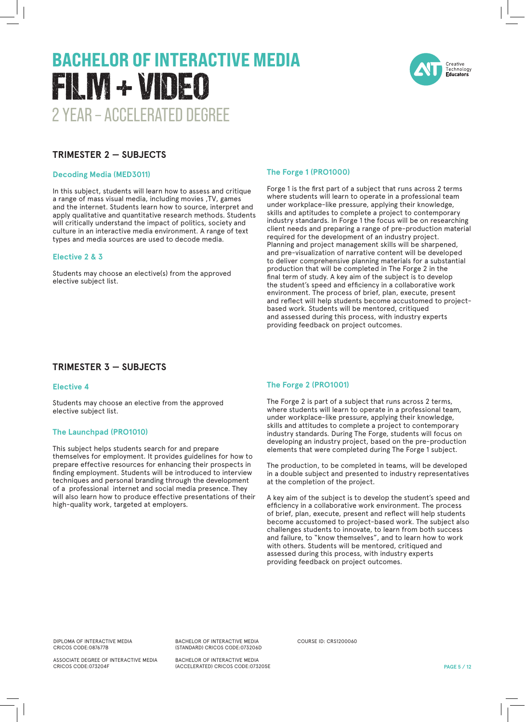

#### **TRIMESTER 2 — SUBJECTS**

#### **Decoding Media (MED3011)**

In this subject, students will learn how to assess and critique a range of mass visual media, including movies ,TV, games and the internet. Students learn how to source, interpret and apply qualitative and quantitative research methods. Students will critically understand the impact of politics, society and culture in an interactive media environment. A range of text types and media sources are used to decode media.

#### **Elective 2 & 3**

Students may choose an elective(s) from the approved elective subject list.

#### **The Forge 1 (PRO1000)**

Forge 1 is the first part of a subject that runs across 2 terms where students will learn to operate in a professional team under workplace-like pressure, applying their knowledge, skills and aptitudes to complete a project to contemporary industry standards. In Forge 1 the focus will be on researching client needs and preparing a range of pre-production material required for the development of an industry project. Planning and project management skills will be sharpened, and pre-visualization of narrative content will be developed to deliver comprehensive planning materials for a substantial production that will be completed in The Forge 2 in the final term of study. A key aim of the subject is to develop the student's speed and efficiency in a collaborative work environment. The process of brief, plan, execute, present and reflect will help students become accustomed to projectbased work. Students will be mentored, critiqued and assessed during this process, with industry experts providing feedback on project outcomes.

#### **TRIMESTER 3 — SUBJECTS**

#### **Elective 4**

Students may choose an elective from the approved elective subject list.

#### **The Launchpad (PRO1010)**

This subject helps students search for and prepare themselves for employment. It provides guidelines for how to prepare effective resources for enhancing their prospects in finding employment. Students will be introduced to interview techniques and personal branding through the development of a professional internet and social media presence. They will also learn how to produce effective presentations of their high-quality work, targeted at employers.

#### **The Forge 2 (PRO1001)**

The Forge 2 is part of a subject that runs across 2 terms, where students will learn to operate in a professional team, under workplace-like pressure, applying their knowledge, skills and attitudes to complete a project to contemporary industry standards. During The Forge, students will focus on developing an industry project, based on the pre-production elements that were completed during The Forge 1 subject.

The production, to be completed in teams, will be developed in a double subject and presented to industry representatives at the completion of the project.

A key aim of the subject is to develop the student's speed and efficiency in a collaborative work environment. The process of brief, plan, execute, present and reflect will help students become accustomed to project-based work. The subject also challenges students to innovate, to learn from both success and failure, to "know themselves", and to learn how to work with others. Students will be mentored, critiqued and assessed during this process, with industry experts providing feedback on project outcomes.

DIPLOMA OF INTERACTIVE MEDIA CRICOS CODE:087677B

ASSOCIATE DEGREE OF INTERACTIVE MEDIA CRICOS CODE:073204F

BACHELOR OF INTERACTIVE MEDIA (STANDARD) CRICOS CODE:073206D

BACHELOR OF INTERACTIVE MEDIA (ACCELERATED) CRICOS CODE:073205E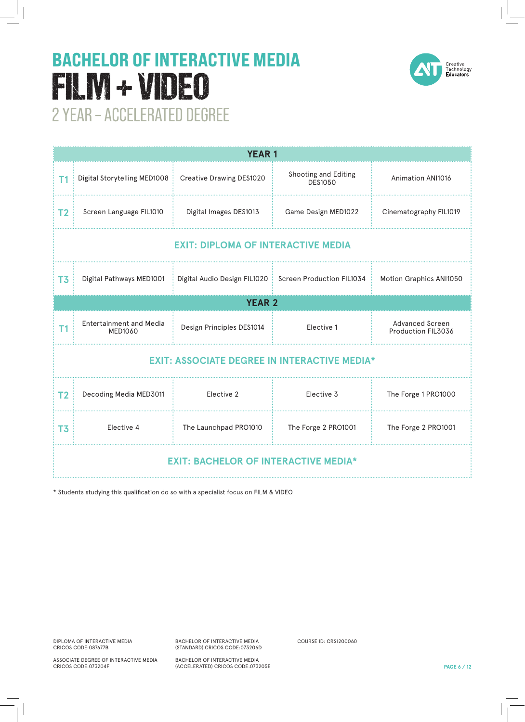

| <b>YEAR 1</b>                                       |                                                         |                                                          |                                 |                                       |  |  |
|-----------------------------------------------------|---------------------------------------------------------|----------------------------------------------------------|---------------------------------|---------------------------------------|--|--|
| Τ1                                                  | Digital Storytelling MED1008   Creative Drawing DES1020 |                                                          | Shooting and Editing<br>DFS1050 | <b>Animation ANI1016</b>              |  |  |
| T <sub>2</sub>                                      | Screen Language FIL1010                                 | Digital Images DES1013                                   | Game Design MED1022             | Cinematography FIL1019                |  |  |
| <b>EXIT: DIPLOMA OF INTERACTIVE MEDIA</b>           |                                                         |                                                          |                                 |                                       |  |  |
| T <sub>3</sub>                                      | Digital Pathways MED1001                                | Digital Audio Design FIL1020   Screen Production FIL1034 |                                 | Motion Graphics ANI1050               |  |  |
| <b>YEAR 2</b>                                       |                                                         |                                                          |                                 |                                       |  |  |
| T1                                                  | <b>Entertainment and Media</b><br>MED1060               | Design Principles DES1014                                | Elective 1                      | Advanced Screen<br>Production FIL3036 |  |  |
| <b>EXIT: ASSOCIATE DEGREE IN INTERACTIVE MEDIA*</b> |                                                         |                                                          |                                 |                                       |  |  |
| T <sub>2</sub>                                      | Decoding Media MED3011                                  | Elective 2                                               | Elective 3                      | The Forge 1 PRO1000                   |  |  |
| T <sub>3</sub>                                      | Elective 4                                              | The Launchpad PRO1010                                    | The Forge 2 PRO1001             | The Forge 2 PRO1001                   |  |  |
| <b>EXIT: BACHELOR OF INTERACTIVE MEDIA*</b>         |                                                         |                                                          |                                 |                                       |  |  |

\* Students studying this qualification do so with a specialist focus on FILM & VIDEO

DIPLOMA OF INTERACTIVE MEDIA CRICOS CODE:087677B

ASSOCIATE DEGREE OF INTERACTIVE MEDIA CRICOS CODE:073204F

BACHELOR OF INTERACTIVE MEDIA (STANDARD) CRICOS CODE:073206D

BACHELOR OF INTERACTIVE MEDIA (ACCELERATED) CRICOS CODE:073205E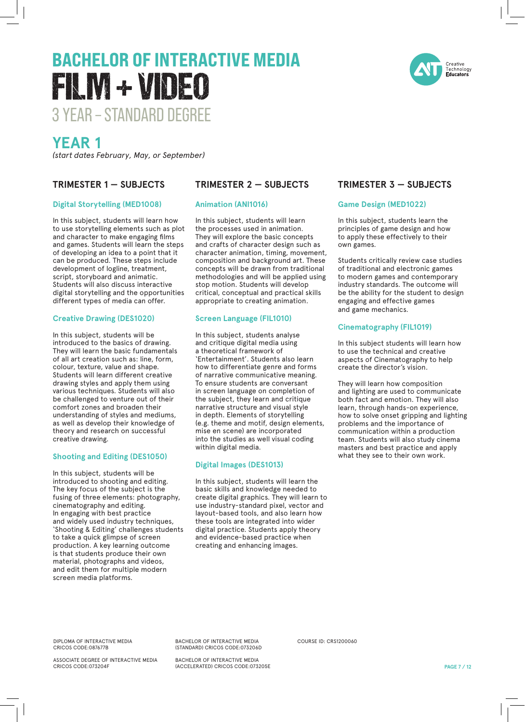### **YEAR 1**

*(start dates February, May, or September)*

#### **TRIMESTER 1 — SUBJECTS**

#### **Digital Storytelling (MED1008)**

In this subject, students will learn how to use storytelling elements such as plot and character to make engaging films and games. Students will learn the steps of developing an idea to a point that it can be produced. These steps include development of logline, treatment, script, storyboard and animatic. Students will also discuss interactive digital storytelling and the opportunities different types of media can offer.

#### **Creative Drawing (DES1020)**

In this subject, students will be introduced to the basics of drawing. They will learn the basic fundamentals of all art creation such as: line, form, colour, texture, value and shape. Students will learn different creative drawing styles and apply them using various techniques. Students will also be challenged to venture out of their comfort zones and broaden their understanding of styles and mediums, as well as develop their knowledge of theory and research on successful creative drawing.

#### **Shooting and Editing (DES1050)**

In this subject, students will be introduced to shooting and editing. The key focus of the subject is the fusing of three elements: photography, cinematography and editing. In engaging with best practice and widely used industry techniques, 'Shooting & Editing' challenges students to take a quick glimpse of screen production. A key learning outcome is that students produce their own material, photographs and videos, and edit them for multiple modern screen media platforms.

#### **TRIMESTER 2 — SUBJECTS**

#### **Animation (ANI1016)**

In this subject, students will learn the processes used in animation. They will explore the basic concepts and crafts of character design such as character animation, timing, movement, composition and background art. These concepts will be drawn from traditional methodologies and will be applied using stop motion. Students will develop critical, conceptual and practical skills appropriate to creating animation.

#### **Screen Language (FIL1010)**

In this subject, students analyse and critique digital media using a theoretical framework of 'Entertainment'. Students also learn how to differentiate genre and forms of narrative communicative meaning. To ensure students are conversant in screen language on completion of the subject, they learn and critique narrative structure and visual style in depth. Elements of storytelling (e.g. theme and motif, design elements, mise en scene) are incorporated into the studies as well visual coding within digital media.

#### **Digital Images (DES1013)**

In this subject, students will learn the basic skills and knowledge needed to create digital graphics. They will learn to use industry-standard pixel, vector and layout-based tools, and also learn how these tools are integrated into wider digital practice. Students apply theory and evidence-based practice when creating and enhancing images.

#### **TRIMESTER 3 — SUBJECTS**

#### **Game Design (MED1022)**

In this subject, students learn the principles of game design and how to apply these effectively to their own games.

Students critically review case studies of traditional and electronic games to modern games and contemporary industry standards. The outcome will be the ability for the student to design engaging and effective games and game mechanics.

#### **Cinematography (FIL1019)**

In this subject students will learn how to use the technical and creative aspects of Cinematography to help create the director's vision.

They will learn how composition and lighting are used to communicate both fact and emotion. They will also learn, through hands-on experience, how to solve onset gripping and lighting problems and the importance of communication within a production team. Students will also study cinema masters and best practice and apply what they see to their own work.

DIPLOMA OF INTERACTIVE MEDIA CRICOS CODE:087677B

ASSOCIATE DEGREE OF INTERACTIVE MEDIA CRICOS CODE:073204F

(STANDARD) CRICOS CODE:073206D BACHELOR OF INTERACTIVE MEDIA (ACCELERATED) CRICOS CODE:073205E

BACHELOR OF INTERACTIVE MEDIA

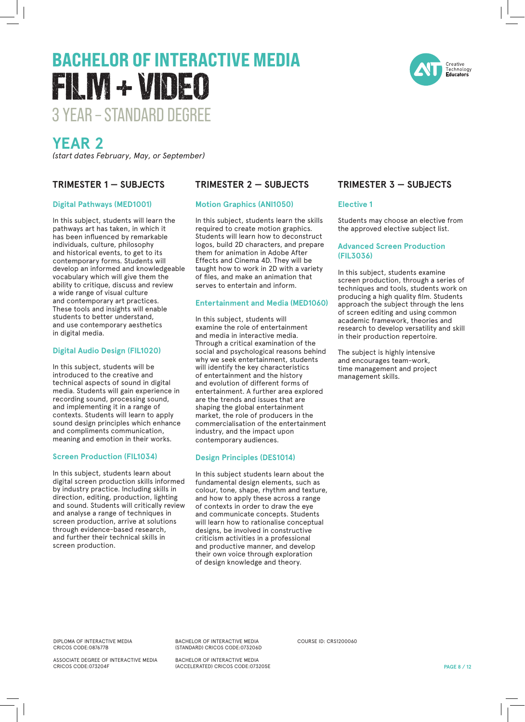

### **YEAR 2**

*(start dates February, May, or September)*

#### **TRIMESTER 1 — SUBJECTS**

#### **Digital Pathways (MED1001)**

In this subject, students will learn the pathways art has taken, in which it has been influenced by remarkable individuals, culture, philosophy and historical events, to get to its contemporary forms. Students will develop an informed and knowledgeable vocabulary which will give them the ability to critique, discuss and review a wide range of visual culture and contemporary art practices. These tools and insights will enable students to better understand, and use contemporary aesthetics in digital media.

#### **Digital Audio Design (FIL1020)**

In this subject, students will be introduced to the creative and technical aspects of sound in digital media. Students will gain experience in recording sound, processing sound, and implementing it in a range of contexts. Students will learn to apply sound design principles which enhance and compliments communication, meaning and emotion in their works.

#### **Screen Production (FIL1034)**

In this subject, students learn about digital screen production skills informed by industry practice. Including skills in direction, editing, production, lighting and sound. Students will critically review and analyse a range of techniques in screen production, arrive at solutions through evidence-based research, and further their technical skills in screen production.

#### **TRIMESTER 2 — SUBJECTS**

#### **Motion Graphics (ANI1050)**

In this subject, students learn the skills required to create motion graphics. Students will learn how to deconstruct logos, build 2D characters, and prepare them for animation in Adobe After Effects and Cinema 4D. They will be taught how to work in 2D with a variety of files, and make an animation that serves to entertain and inform.

#### **Entertainment and Media (MED1060)**

In this subject, students will examine the role of entertainment and media in interactive media. Through a critical examination of the social and psychological reasons behind why we seek entertainment, students will identify the key characteristics of entertainment and the history and evolution of different forms of entertainment. A further area explored are the trends and issues that are shaping the global entertainment market, the role of producers in the commercialisation of the entertainment industry, and the impact upon contemporary audiences.

#### **Design Principles (DES1014)**

In this subject students learn about the fundamental design elements, such as colour, tone, shape, rhythm and texture, and how to apply these across a range of contexts in order to draw the eye and communicate concepts. Students will learn how to rationalise conceptual designs, be involved in constructive criticism activities in a professional and productive manner, and develop their own voice through exploration of design knowledge and theory.

#### **TRIMESTER 3 — SUBJECTS**

#### **Elective 1**

Students may choose an elective from the approved elective subject list.

#### **Advanced Screen Production (FIL3036)**

In this subject, students examine screen production, through a series of techniques and tools, students work on producing a high quality film. Students approach the subject through the lens of screen editing and using common academic framework, theories and research to develop versatility and skill in their production repertoire.

The subject is highly intensive and encourages team-work, time management and project management skills.

DIPLOMA OF INTERACTIVE MEDIA CRICOS CODE:087677B

ASSOCIATE DEGREE OF INTERACTIVE MEDIA CRICOS CODE:073204F

BACHELOR OF INTERACTIVE MEDIA (STANDARD) CRICOS CODE:073206D

BACHELOR OF INTERACTIVE MEDIA (ACCELERATED) CRICOS CODE:073205E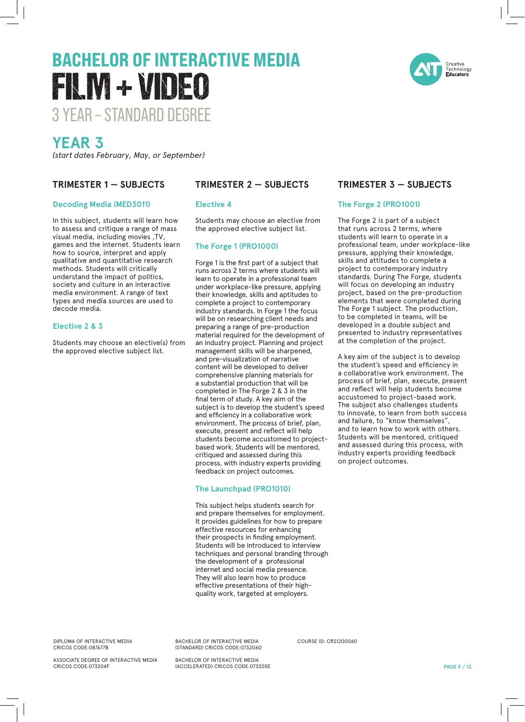

### **YEAR 3**

*(start dates February, May, or September)*

#### **TRIMESTER 1 — SUBJECTS**

#### **Decoding Media (MED3011)**

In this subject, students will learn how to assess and critique a range of mass visual media, including movies ,TV, games and the internet. Students learn how to source, interpret and apply qualitative and quantitative research methods. Students will critically understand the impact of politics, society and culture in an interactive media environment. A range of text types and media sources are used to decode media.

#### **Elective 2 & 3**

Students may choose an elective(s) from the approved elective subject list.

#### **TRIMESTER 2 — SUBJECTS**

#### **Elective 4**

Students may choose an elective from the approved elective subject list.

#### **The Forge 1 (PRO1000)**

Forge 1 is the first part of a subject that runs across 2 terms where students will learn to operate in a professional team under workplace-like pressure, applying their knowledge, skills and aptitudes to complete a project to contemporary industry standards. In Forge 1 the focus will be on researching client needs and preparing a range of pre-production material required for the development of an industry project. Planning and project management skills will be sharpened, and pre-visualization of narrative content will be developed to deliver comprehensive planning materials for a substantial production that will be completed in The Forge 2 & 3 in the final term of study. A key aim of the subject is to develop the student's speed and efficiency in a collaborative work environment. The process of brief, plan, execute, present and reflect will help students become accustomed to projectbased work. Students will be mentored, critiqued and assessed during this process, with industry experts providing feedback on project outcomes.

#### **The Launchpad (PRO1010)**

This subject helps students search for and prepare themselves for employment. It provides guidelines for how to prepare effective resources for enhancing their prospects in finding employment. Students will be introduced to interview techniques and personal branding through the development of a professional internet and social media presence. They will also learn how to produce effective presentations of their highquality work, targeted at employers.

#### DIPLOMA OF INTERACTIVE MEDIA CRICOS CODE:087677B

ASSOCIATE DEGREE OF INTERACTIVE MEDIA CRICOS CODE:073204F

BACHELOR OF INTERACTIVE MEDIA (STANDARD) CRICOS CODE:073206D

BACHELOR OF INTERACTIVE MEDIA (ACCELERATED) CRICOS CODE:073205E

#### **TRIMESTER 3 — SUBJECTS**

#### **The Forge 2 (PRO1001)**

The Forge 2 is part of a subject that runs across 2 terms, where students will learn to operate in a professional team, under workplace-like pressure, applying their knowledge, skills and attitudes to complete a project to contemporary industry standards. During The Forge, students will focus on developing an industry project, based on the pre-production elements that were completed during The Forge 1 subject. The production, to be completed in teams, will be developed in a double subject and presented to industry representatives at the completion of the project.

A key aim of the subject is to develop the student's speed and efficiency in a collaborative work environment. The process of brief, plan, execute, present and reflect will help students become accustomed to project-based work. The subject also challenges students to innovate, to learn from both success and failure, to "know themselves", and to learn how to work with others. Students will be mentored, critiqued and assessed during this process, with industry experts providing feedback on project outcomes.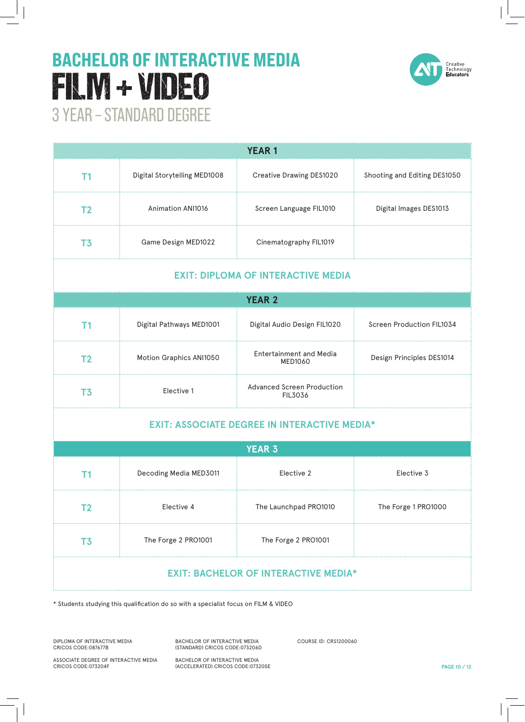

| <b>YEAR1</b>                                        |                              |                                              |                              |  |  |  |  |
|-----------------------------------------------------|------------------------------|----------------------------------------------|------------------------------|--|--|--|--|
| T <sub>1</sub>                                      | Digital Storytelling MED1008 | Creative Drawing DES1020                     | Shooting and Editing DES1050 |  |  |  |  |
| T <sub>2</sub>                                      | <b>Animation ANI1016</b>     | Screen Language FIL1010                      | Digital Images DES1013       |  |  |  |  |
| T <sub>3</sub>                                      | Game Design MED1022          | Cinematography FIL1019                       |                              |  |  |  |  |
| <b>EXIT: DIPLOMA OF INTERACTIVE MEDIA</b>           |                              |                                              |                              |  |  |  |  |
| <b>YEAR 2</b>                                       |                              |                                              |                              |  |  |  |  |
| T <sub>1</sub>                                      | Digital Pathways MED1001     | Digital Audio Design FIL1020                 | Screen Production FIL1034    |  |  |  |  |
| T <sub>2</sub>                                      | Motion Graphics ANI1050      | <b>Entertainment and Media</b><br>MED1060    | Design Principles DES1014    |  |  |  |  |
| T <sub>3</sub>                                      | Elective 1                   | <b>Advanced Screen Production</b><br>FIL3036 |                              |  |  |  |  |
| <b>EXIT: ASSOCIATE DEGREE IN INTERACTIVE MEDIA*</b> |                              |                                              |                              |  |  |  |  |
|                                                     |                              | <b>YEAR 3</b>                                |                              |  |  |  |  |
| T1                                                  | Decoding Media MED3011       | Elective 2                                   | Elective 3                   |  |  |  |  |
| T <sub>2</sub>                                      | Elective 4                   | The Launchpad PRO1010                        | The Forge 1 PRO1000          |  |  |  |  |
| T <sub>3</sub>                                      | The Forge 2 PRO1001          | The Forge 2 PRO1001                          |                              |  |  |  |  |
| <b>EXIT: BACHELOR OF INTERACTIVE MEDIA*</b>         |                              |                                              |                              |  |  |  |  |

\* Students studying this qualification do so with a specialist focus on FILM & VIDEO

DIPLOMA OF INTERACTIVE MEDIA CRICOS CODE:087677B

BACHELOR OF INTERACTIVE MEDIA (STANDARD) CRICOS CODE:073206D BACHELOR OF INTERACTIVE MEDIA

(ACCELERATED) CRICOS CODE:073205E

COURSE ID: CRS1200060

ASSOCIATE DEGREE OF INTERACTIVE MEDIA CRICOS CODE:073204F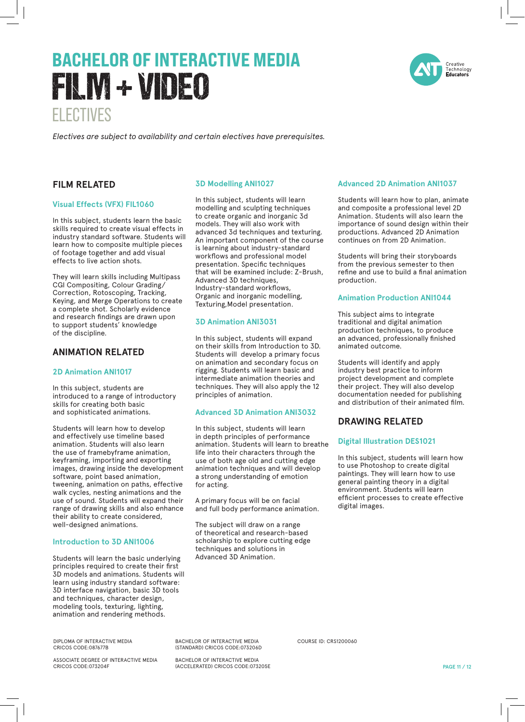### ELECTIVES BACHELOR OF INTERACTIVE MEDIA FILM + VIDEO

Creative

#### *Electives are subject to availability and certain electives have prerequisites.*

#### **FILM RELATED**

#### **Visual Effects (VFX) FIL1060**

In this subject, students learn the basic skills required to create visual effects in industry standard software. Students will learn how to composite multiple pieces of footage together and add visual effects to live action shots.

They will learn skills including Multipass CGI Compositing, Colour Grading/ Correction, Rotoscoping, Tracking, Keying, and Merge Operations to create a complete shot. Scholarly evidence and research findings are drawn upon to support students' knowledge of the discipline.

#### **ANIMATION RELATED**

#### **2D Animation ANI1017**

In this subject, students are introduced to a range of introductory skills for creating both basic and sophisticated animations.

Students will learn how to develop and effectively use timeline based animation. Students will also learn the use of framebyframe animation, keyframing, importing and exporting images, drawing inside the development software, point based animation, tweening, animation on paths, effective walk cycles, nesting animations and the use of sound. Students will expand their range of drawing skills and also enhance their ability to create considered, well-designed animations.

#### **Introduction to 3D ANI1006**

Students will learn the basic underlying principles required to create their first 3D models and animations. Students will learn using industry standard software: 3D interface navigation, basic 3D tools and techniques, character design, modeling tools, texturing, lighting, animation and rendering methods.

DIPLOMA OF INTERACTIVE MEDIA CRICOS CODE:087677B

ASSOCIATE DEGREE OF INTERACTIVE MEDIA CRICOS CODE:073204F

#### **3D Modelling ANI1027**

In this subject, students will learn modelling and sculpting techniques to create organic and inorganic 3d models. They will also work with advanced 3d techniques and texturing. An important component of the course is learning about industry-standard workflows and professional model presentation. Specific techniques that will be examined include: Z-Brush, Advanced 3D techniques, Industry-standard workflows, Organic and inorganic modelling, Texturing,Model presentation.

#### **3D Animation ANI3031**

In this subject, students will expand on their skills from Introduction to 3D. Students will develop a primary focus on animation and secondary focus on rigging. Students will learn basic and intermediate animation theories and techniques. They will also apply the 12 principles of animation.

#### **Advanced 3D Animation ANI3032**

In this subject, students will learn in depth principles of performance animation. Students will learn to breathe life into their characters through the use of both age old and cutting edge animation techniques and will develop a strong understanding of emotion for acting.

A primary focus will be on facial and full body performance animation.

The subject will draw on a range of theoretical and research-based scholarship to explore cutting edge techniques and solutions in Advanced 3D Animation.

#### **Advanced 2D Animation ANI1037**

Students will learn how to plan, animate and composite a professional level 2D Animation. Students will also learn the importance of sound design within their productions. Advanced 2D Animation continues on from 2D Animation.

Students will bring their storyboards from the previous semester to then refine and use to build a final animation production.

#### **Animation Production ANI1044**

This subject aims to integrate traditional and digital animation production techniques, to produce an advanced, professionally finished animated outcome.

Students will identify and apply industry best practice to inform project development and complete their project. They will also develop documentation needed for publishing and distribution of their animated film.

#### **DRAWING RELATED**

#### **Digital Illustration DES1021**

In this subject, students will learn how to use Photoshop to create digital paintings. They will learn how to use general painting theory in a digital environment. Students will learn efficient processes to create effective digital images.

BACHELOR OF INTERACTIVE MEDIA (STANDARD) CRICOS CODE:073206D

BACHELOR OF INTERACTIVE MEDIA (ACCELERATED) CRICOS CODE:073205E COURSE ID: CRS1200060

**PAGE 11 / 12**